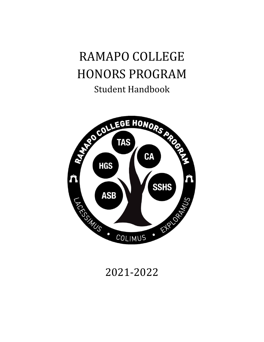# RAMAPO COLLEGE HONORS PROGRAM Student Handbook



# 2021-2022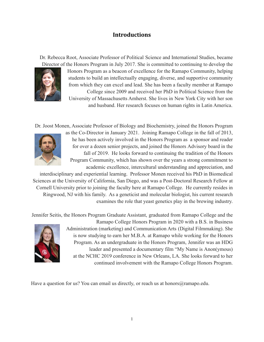### **Introductions**

Dr. Rebecca Root, Associate Professor of Political Science and International Studies, became



Director of the Honors Program in July 2017. She is committed to continuing to develop the Honors Program as a beacon of excellence for the Ramapo Community, helping students to build an intellectually engaging, diverse, and supportive community from which they can excel and lead. She has been a faculty member at Ramapo College since 2009 and received her PhD in Political Science from the University of Massachusetts Amherst. She lives in New York City with her son

and husband. Her research focuses on human rights in Latin America.

Dr. Joost Monen, Associate Professor of Biology and Biochemistry, joined the Honors Program



as the Co-Director in January 2021. Joining Ramapo College in the fall of 2013, he has been actively involved in the Honors Program as a sponsor and reader for over a dozen senior projects, and joined the Honors Advisory board in the fall of 2019. He looks forward to continuing the tradition of the Honors Program Community, which has shown over the years a strong commitment to academic excellence, intercultural understanding and appreciation, and

interdisciplinary and experiential learning. Professor Monen received his PhD in Biomedical Sciences at the University of California, San Diego, and was a Post-Doctoral Research Fellow at Cornell University prior to joining the faculty here at Ramapo College. He currently resides in Ringwood, NJ with his family. As a geneticist and molecular biologist, his current research examines the role that yeast genetics play in the brewing industry.

Jennifer Seitis, the Honors Program Graduate Assistant, graduated from Ramapo College and the



Ramapo College Honors Program in 2020 with a B.S. in Business Administration (marketing) and Communication Arts (Digital Filmmaking). She is now studying to earn her M.B.A. at Ramapo while working for the Honors Program. As an undergraduate in the Honors Program, Jennifer was an HDG leader and presented a documentary film "My Name is Anon(ymous) at the NCHC 2019 conference in New Orleans, LA. She looks forward to her continued involvement with the Ramapo College Honors Program.

Have a question for us? You can email us directly, or reach us at honors@ramapo.edu.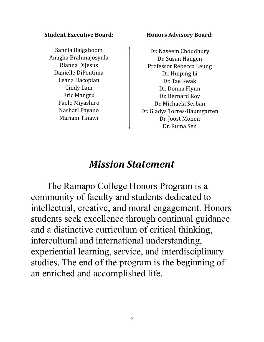#### **Student Executive Board:**

Sannia Balgahoom Anagha Brahmajosyula Rianna DiJesus Danielle DiPentima Leana Hacopian Cindy Lam Eric Mangru Paolo Miyashiro Nashari Payano Mariam Tinawi

#### **Honors Advisory Board:**

Dr. Naseem Choudhury Dr. Susan Hangen Professor Rebecca Leung Dr. Huiping Li Dr. Tae Kwak Dr. Donna Flynn Dr. Bernard Roy Dr. Michaela Serban Dr. Gladys Torres-Baumgarten Dr. Joost Monen Dr. Ruma Sen

# *Mission Statement*

The Ramapo College Honors Program is a community of faculty and students dedicated to intellectual, creative, and moral engagement. Honors students seek excellence through continual guidance and a distinctive curriculum of critical thinking, intercultural and international understanding, experiential learning, service, and interdisciplinary studies. The end of the program is the beginning of an enriched and accomplished life.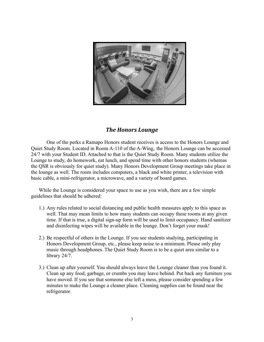

#### *The Honors Lounge*

One of the perks a Ramapo Honors student receives is access to the Honors Lounge and Quiet Study Room. Located in Room A-110 of the A-Wing, the Honors Lounge can be accessed 24/7 with your Student ID. Attached to that is the Quiet Study Room. Many students utilize the Lounge to study, do homework, eat lunch, and spend time with other honors students (whereas the QSR is obviously for quiet study). Many Honors Development Group meetings take place in the lounge as well. The room includes computers, a black and white printer, a television with basic cable, a mini-refrigerator, a microwave, and a variety of board games.

While the Lounge is considered your space to use as you wish, there are a few simple guidelines that should be adhered:

- 1.) Any rules related to social distancing and public health measures apply to this space as well. That may mean limits to how many students can occupy these rooms at any given time. If that is true, a digital sign-up form will be used to limit occupancy. Hand sanitizer and disinfecting wipes will be available in the lounge. Don't forget your mask!
- 2.) Be respectful of others in the Lounge. If you see students studying, participating in Honors Development Group, etc., please keep noise to a minimum. Please only play music through headphones. The Quiet Study Room is to be a quiet area similar to a library 24/7.
- 3.) Clean up after yourself. You should always leave the Lounge cleaner than you found it. Clean up any food, garbage, or crumbs you may leave behind. Put back any furniture you have moved. If you see that someone else left a mess, please consider spending a few minutes to make the Lounge a cleaner place. Cleaning supplies can be found near the refrigerator.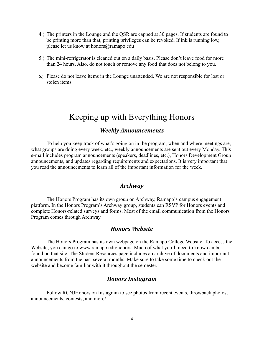- 4.) The printers in the Lounge and the QSR are capped at 30 pages. If students are found to be printing more than that, printing privileges can be revoked. If ink is running low, please let us know at honors@ramapo.edu
- 5.) The mini-refrigerator is cleaned out on a daily basis. Please don't leave food for more than 24 hours. Also, do not touch or remove any food that does not belong to you.
- 6.) Please do not leave items in the Lounge unattended. We are not responsible for lost or stolen items.

### Keeping up with Everything Honors

#### *Weekly Announcements*

To help you keep track of what's going on in the program, when and where meetings are, what groups are doing every week, etc., weekly announcements are sent out every Monday. This e-mail includes program announcements (speakers, deadlines, etc.), Honors Development Group announcements, and updates regarding requirements and expectations. It is very important that you read the announcements to learn all of the important information for the week.

#### *Archway*

The Honors Program has its own group on Archway, Ramapo's campus engagement platform. In the Honors Program's Archway group, students can RSVP for Honors events and complete Honors-related surveys and forms. Most of the email communication from the Honors Program comes through Archway.

#### *Honors Website*

The Honors Program has its own webpage on the Ramapo College Website. To access the Website, you can go to [www.ramapo.edu/honors.](http://www.ramapo.edu/honors) Much of what you'll need to know can be found on that site. The Student Resources page includes an archive of documents and important announcements from the past several months. Make sure to take some time to check out the website and become familiar with it throughout the semester.

#### *Honors Instagram*

Follow RCNJHonors on Instagram to see photos from recent events, throwback photos, announcements, contests, and more!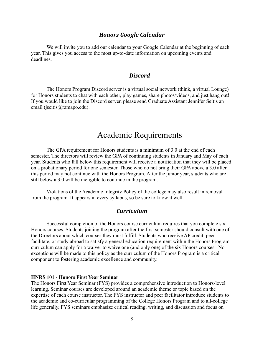#### *Honors Google Calendar*

We will invite you to add our calendar to your Google Calendar at the beginning of each year. This gives you access to the most up-to-date information on upcoming events and deadlines.

#### *Discord*

The Honors Program Discord server is a virtual social network (think, a virtual Lounge) for Honors students to chat with each other, play games, share photos/videos, and just hang out! If you would like to join the Discord server, please send Graduate Assistant Jennifer Seitis an email (jseitis@ramapo.edu).

### Academic Requirements

The GPA requirement for Honors students is a minimum of 3.0 at the end of each semester. The directors will review the GPA of continuing students in January and May of each year. Students who fall below this requirement will receive a notification that they will be placed on a probationary period for one semester. Those who do not bring their GPA above a 3.0 after this period may not continue with the Honors Program. After the junior year, students who are still below a 3.0 will be ineligible to continue in the program.

Violations of the Academic Integrity Policy of the college may also result in removal from the program. It appears in every syllabus, so be sure to know it well.

#### *Curriculum*

Successful completion of the Honors course curriculum requires that you complete six Honors courses. Students joining the program after the first semester should consult with one of the Directors about which courses they must fulfill. Students who receive AP credit, peer facilitate, or study abroad to satisfy a general education requirement within the Honors Program curriculum can apply for a waiver to waive one (and only one) of the six Honors courses. No exceptions will be made to this policy as the curriculum of the Honors Program is a critical component to fostering academic excellence and community.

#### **HNRS 101 - Honors First Year Seminar**

The Honors First Year Seminar (FYS) provides a comprehensive introduction to Honors-level learning. Seminar courses are developed around an academic theme or topic based on the expertise of each course instructor. The FYS instructor and peer facilitator introduce students to the academic and co-curricular programming of the College Honors Program and to all-college life generally. FYS seminars emphasize critical reading, writing, and discussion and focus on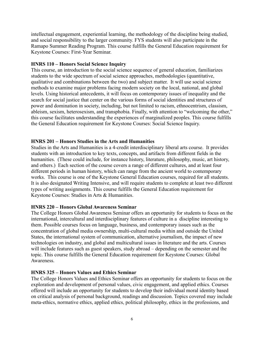intellectual engagement, experiential learning, the methodology of the discipline being studied, and social responsibility to the larger community. FYS students will also participate in the Ramapo Summer Reading Program. This course fulfills the General Education requirement for Keystone Courses: First-Year Seminar.

#### **HNRS 110 – Honors Social Science Inquiry**

This course, an introduction to the social science sequence of general education, familiarizes students to the wide spectrum of social science approaches, methodologies (quantitative, qualitative and combinations between the two) and subject matter. It will use social science methods to examine major problems facing modern society on the local, national, and global levels. Using historical antecedents, it will focus on contemporary issues of inequality and the search for social justice that center on the various forms of social identities and structures of power and domination in society, including, but not limited to racism, ethnocentrism, classism, ableism, sexism, heterosexism, and transphobia. Finally, with attention to "welcoming the other," this course facilitates understanding the experiences of marginalized peoples. This course fulfills the General Education requirement for Keystone Courses: Social Science Inquiry.

#### **HNRS 201 – Honors Studies in the Arts and Humanities**

Studies in the Arts and Humanities is a 4-credit interdisciplinary liberal arts course. It provides students with an introduction to key texts, concepts, and artifacts from different fields in the humanities. (These could include, for instance history, literature, philosophy, music, art history, and others.) Each section of the course covers a range of different cultures, and at least four different periods in human history, which can range from the ancient world to contemporary works. This course is one of the Keystone General Education courses, required for all students. It is also designated Writing Intensive, and will require students to complete at least two different types of writing assignments. This course fulfills the General Education requirement for Keystone Courses: Studies in Arts & Humanities.

#### **HNRS 220 – Honors Global Awareness Seminar**

The College Honors Global Awareness Seminar offers an opportunity for students to focus on the international, intercultural and interdisciplinary features of culture in a discipline interesting to them. Possible courses focus on language, business, and contemporary issues such as the concentration of global media ownership, multi-cultural media within and outside the United States, the international system of communication, alternative journalism, the impact of new technologies on industry, and global and multicultural issues in literature and the arts. Courses will include features such as guest speakers, study abroad – depending on the semester and the topic. This course fulfills the General Education requirement for Keystone Courses: Global Awareness.

#### **HNRS 325 – Honors Values and Ethics Seminar**

The College Honors Values and Ethics Seminar offers an opportunity for students to focus on the exploration and development of personal values, civic engagement, and applied ethics. Courses offered will include an opportunity for students to develop their individual moral identity based on critical analysis of personal background, readings and discussion. Topics covered may include meta-ethics, normative ethics, applied ethics, political philosophy, ethics in the professions, and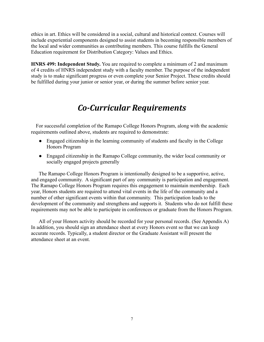ethics in art. Ethics will be considered in a social, cultural and historical context. Courses will include experiential components designed to assist students in becoming responsible members of the local and wider communities as contributing members. This course fulfills the General Education requirement for Distribution Category: Values and Ethics.

**HNRS 499: Independent Study.** You are required to complete a minimum of 2 and maximum of 4 credits of HNRS independent study with a faculty member. The purpose of the independent study is to make significant progress or even complete your Senior Project. These credits should be fulfilled during your junior or senior year, or during the summer before senior year.

## *Co-Curricular Requirements*

For successful completion of the Ramapo College Honors Program, along with the academic requirements outlined above, students are required to demonstrate:

- Engaged citizenship in the learning community of students and faculty in the College Honors Program
- Engaged citizenship in the Ramapo College community, the wider local community or socially engaged projects generally

The Ramapo College Honors Program is intentionally designed to be a supportive, active, and engaged community. A significant part of any community is participation and engagement. The Ramapo College Honors Program requires this engagement to maintain membership. Each year, Honors students are required to attend vital events in the life of the community and a number of other significant events within that community. This participation leads to the development of the community and strengthens and supports it. Students who do not fulfill these requirements may not be able to participate in conferences or graduate from the Honors Program.

All of your Honors activity should be recorded for your personal records. (See Appendix A) In addition, you should sign an attendance sheet at every Honors event so that we can keep accurate records. Typically, a student director or the Graduate Assistant will present the attendance sheet at an event.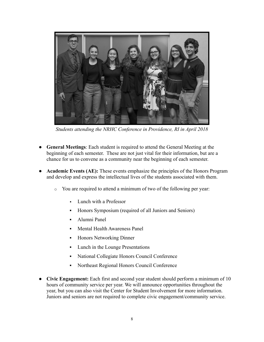

*Students attending the NRHC Conference in Providence, RI in April 2018*

- **General Meetings**: Each student is required to attend the General Meeting at the beginning of each semester. These are not just vital for their information, but are a chance for us to convene as a community near the beginning of each semester.
- Academic Events (AE): These events emphasize the principles of the Honors Program and develop and express the intellectual lives of the students associated with them.
	- o You are required to attend a minimum of two of the following per year:
		- Lunch with a Professor
		- Honors Symposium (required of all Juniors and Seniors)
		- **•** Alumni Panel
		- Mental Health Awareness Panel
		- **•** Honors Networking Dinner
		- Lunch in the Lounge Presentations
		- National Collegiate Honors Council Conference
		- Northeast Regional Honors Council Conference
- **● Civic Engagement:** Each first and second year student should perform a minimum of 10 hours of community service per year. We will announce opportunities throughout the year, but you can also visit the Center for Student Involvement for more information. Juniors and seniors are not required to complete civic engagement/community service.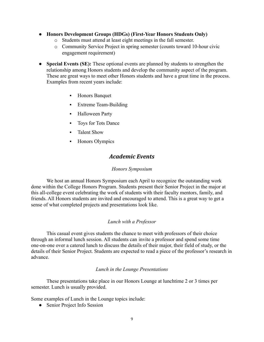- **● Honors Development Groups (HDGs) (First-Year Honors Students Only)**
	- o Students must attend at least eight meetings in the fall semester.
	- o Community Service Project in spring semester (counts toward 10-hour civic engagement requirement)
- **● Special Events (SE):** These optional events are planned by students to strengthen the relationship among Honors students and develop the community aspect of the program. These are great ways to meet other Honors students and have a great time in the process. Examples from recent years include:
	- Honors Banquet
	- **Extreme Team-Building**
	- **•** Halloween Party
	- Toys for Tots Dance
	- **•** Talent Show
	- Honors Olympics

#### *Academic Events*

#### *Honors Symposium*

We host an annual Honors Symposium each April to recognize the outstanding work done within the College Honors Program. Students present their Senior Project in the major at this all-college event celebrating the work of students with their faculty mentors, family, and friends. All Honors students are invited and encouraged to attend. This is a great way to get a sense of what completed projects and presentations look like.

#### *Lunch with a Professor*

This casual event gives students the chance to meet with professors of their choice through an informal lunch session. All students can invite a professor and spend some time one-on-one over a catered lunch to discuss the details of their major, their field of study, or the details of their Senior Project. Students are expected to read a piece of the professor's research in advance.

#### *Lunch in the Lounge Presentations*

These presentations take place in our Honors Lounge at lunchtime 2 or 3 times per semester. Lunch is usually provided.

Some examples of Lunch in the Lounge topics include:

• Senior Project Info Session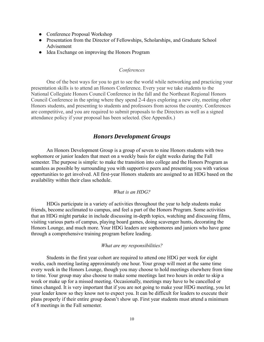- Conference Proposal Workshop
- Presentation from the Director of Fellowships, Scholarships, and Graduate School Advisement
- Idea Exchange on improving the Honors Program

#### *Conferences*

One of the best ways for you to get to see the world while networking and practicing your presentation skills is to attend an Honors Conference. Every year we take students to the National Collegiate Honors Council Conference in the fall and the Northeast Regional Honors Council Conference in the spring where they spend 2-4 days exploring a new city, meeting other Honors students, and presenting to students and professors from across the country. Conferences are competitive, and you are required to submit proposals to the Directors as well as a signed attendance policy if your proposal has been selected. (See Appendix.)

#### *Honors Development Groups*

An Honors Development Group is a group of seven to nine Honors students with two sophomore or junior leaders that meet on a weekly basis for eight weeks during the Fall semester. The purpose is simple: to make the transition into college and the Honors Program as seamless as possible by surrounding you with supportive peers and presenting you with various opportunities to get involved. All first-year Honors students are assigned to an HDG based on the availability within their class schedule.

#### *What is an HDG?*

HDGs participate in a variety of activities throughout the year to help students make friends, become acclimated to campus, and feel a part of the Honors Program. Some activities that an HDG might partake in include discussing in-depth topics, watching and discussing films, visiting various parts of campus, playing board games, doing scavenger hunts, decorating the Honors Lounge, and much more. Your HDG leaders are sophomores and juniors who have gone through a comprehensive training program before leading.

#### *What are my responsibilities?*

Students in the first year cohort are required to attend one HDG per week for eight weeks, each meeting lasting approximately one hour. Your group will meet at the same time every week in the Honors Lounge, though you may choose to hold meetings elsewhere from time to time. Your group may also choose to make some meetings last two hours in order to skip a week or make up for a missed meeting. Occasionally, meetings may have to be cancelled or times changed. It is very important that if you are not going to make your HDG meeting, you let your leader know so they know not to expect you. It can be difficult for leaders to execute their plans properly if their entire group doesn't show up. First year students must attend a minimum of 8 meetings in the Fall semester.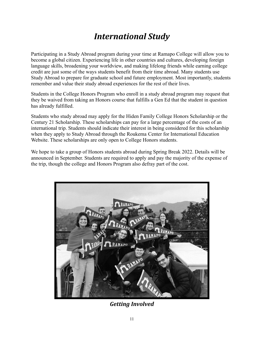# *International Study*

Participating in a Study Abroad program during your time at Ramapo College will allow you to become a global citizen. Experiencing life in other countries and cultures, developing foreign language skills, broadening your worldview, and making lifelong friends while earning college credit are just some of the ways students benefit from their time abroad. Many students use Study Abroad to prepare for graduate school and future employment. Most importantly, students remember and value their study abroad experiences for the rest of their lives.

Students in the College Honors Program who enroll in a study abroad program may request that they be waived from taking an Honors course that fulfills a Gen Ed that the student in question has already fulfilled.

Students who study abroad may apply for the Hiden Family College Honors Scholarship or the Century 21 Scholarship. These scholarships can pay for a large percentage of the costs of an international trip. Students should indicate their interest in being considered for this scholarship when they apply to Study Abroad through the Roukema Center for International Education Website. These scholarships are only open to College Honors students.

We hope to take a group of Honors students abroad during Spring Break 2022. Details will be announced in September. Students are required to apply and pay the majority of the expense of the trip, though the college and Honors Program also defray part of the cost.



*Getting Involved*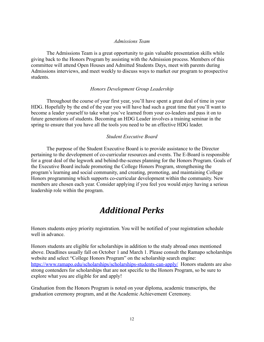#### *Admissions Team*

The Admissions Team is a great opportunity to gain valuable presentation skills while giving back to the Honors Program by assisting with the Admission process. Members of this committee will attend Open Houses and Admitted Students Days, meet with parents during Admissions interviews, and meet weekly to discuss ways to market our program to prospective students.

#### *Honors Development Group Leadership*

Throughout the course of your first year, you'll have spent a great deal of time in your HDG. Hopefully by the end of the year you will have had such a great time that you'll want to become a leader yourself to take what you've learned from your co-leaders and pass it on to future generations of students. Becoming an HDG Leader involves a training seminar in the spring to ensure that you have all the tools you need to be an effective HDG leader.

#### *Student Executive Board*

The purpose of the Student Executive Board is to provide assistance to the Director pertaining to the development of co-curricular resources and events. The E-Board is responsible for a great deal of the legwork and behind-the-scenes planning for the Honors Program. Goals of the Executive Board include promoting the College Honors Program, strengthening the program's learning and social community, and creating, promoting, and maintaining College Honors programming which supports co-curricular development within the community. New members are chosen each year. Consider applying if you feel you would enjoy having a serious leadership role within the program.

### *Additional Perks*

Honors students enjoy priority registration. You will be notified of your registration schedule well in advance.

Honors students are eligible for scholarships in addition to the study abroad ones mentioned above. Deadlines usually fall on October 1 and March 1. Please consult the Ramapo scholarships website and select "College Honors Program" on the scholarship search engine: <https://www.ramapo.edu/scholarships/scholarships-students-can-apply/> Honors students are also strong contenders for scholarships that are not specific to the Honors Program, so be sure to explore what you are eligible for and apply!

Graduation from the Honors Program is noted on your diploma, academic transcripts, the graduation ceremony program, and at the Academic Achievement Ceremony.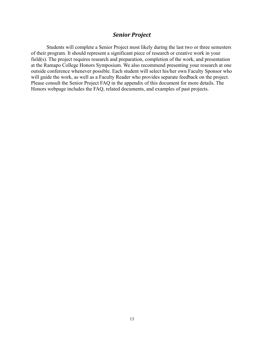#### *Senior Project*

Students will complete a Senior Project most likely during the last two or three semesters of their program. It should represent a significant piece of research or creative work in your field(s). The project requires research and preparation, completion of the work, and presentation at the Ramapo College Honors Symposium. We also recommend presenting your research at one outside conference whenever possible. Each student will select his/her own Faculty Sponsor who will guide the work, as well as a Faculty Reader who provides separate feedback on the project. Please consult the Senior Project FAQ in the appendix of this document for more details. The Honors webpage includes the FAQ, related documents, and examples of past projects.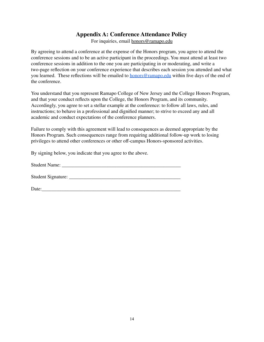#### **Appendix A: Conference Attendance Policy**

For inquiries, email honors@ramapo.edu

By agreeing to attend a conference at the expense of the Honors program, you agree to attend the conference sessions and to be an active participant in the proceedings. You must attend at least two conference sessions in addition to the one you are participating in or moderating, and write a two-page reflection on your conference experience that describes each session you attended and what you learned. These reflections will be emailed to **[honors@ramapo.edu](mailto:honors@ramapo.edu)** within five days of the end of the conference.

You understand that you represent Ramapo College of New Jersey and the College Honors Program, and that your conduct reflects upon the College, the Honors Program, and its community. Accordingly, you agree to set a stellar example at the conference: to follow all laws, rules, and instructions; to behave in a professional and dignified manner; to strive to exceed any and all academic and conduct expectations of the conference planners.

Failure to comply with this agreement will lead to consequences as deemed appropriate by the Honors Program. Such consequences range from requiring additional follow-up work to losing privileges to attend other conferences or other off-campus Honors-sponsored activities.

By signing below, you indicate that you agree to the above.

| <b>Student Name:</b> |
|----------------------|
|----------------------|

Student Signature: \_\_\_\_\_\_\_\_\_\_\_\_\_\_\_\_\_\_\_\_\_\_\_\_\_\_\_\_\_\_\_\_\_\_\_\_\_\_\_\_\_\_\_\_\_

Date: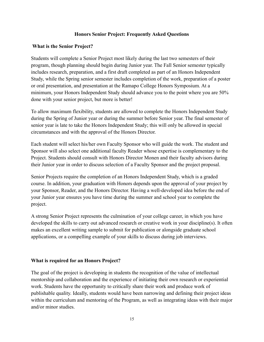#### **Honors Senior Project: Frequently Asked Questions**

#### **What is the Senior Project?**

Students will complete a Senior Project most likely during the last two semesters of their program, though planning should begin during Junior year. The Fall Senior semester typically includes research, preparation, and a first draft completed as part of an Honors Independent Study, while the Spring senior semester includes completion of the work, preparation of a poster or oral presentation, and presentation at the Ramapo College Honors Symposium. At a minimum, your Honors Independent Study should advance you to the point where you are 50% done with your senior project, but more is better!

To allow maximum flexibility, students are allowed to complete the Honors Independent Study during the Spring of Junior year or during the summer before Senior year. The final semester of senior year is late to take the Honors Independent Study; this will only be allowed in special circumstances and with the approval of the Honors Director.

Each student will select his/her own Faculty Sponsor who will guide the work. The student and Sponsor will also select one additional faculty Reader whose expertise is complementary to the Project. Students should consult with Honors Director Monen and their faculty advisors during their Junior year in order to discuss selection of a Faculty Sponsor and the project proposal.

Senior Projects require the completion of an Honors Independent Study, which is a graded course. In addition, your graduation with Honors depends upon the approval of your project by your Sponsor, Reader, and the Honors Director. Having a well-developed idea before the end of your Junior year ensures you have time during the summer and school year to complete the project.

A strong Senior Project represents the culmination of your college career, in which you have developed the skills to carry out advanced research or creative work in your discipline(s). It often makes an excellent writing sample to submit for publication or alongside graduate school applications, or a compelling example of your skills to discuss during job interviews.

#### **What is required for an Honors Project?**

The goal of the project is developing in students the recognition of the value of intellectual mentorship and collaboration and the experience of initiating their own research or experiential work. Students have the opportunity to critically share their work and produce work of publishable quality. Ideally, students would have been narrowing and defining their project ideas within the curriculum and mentoring of the Program, as well as integrating ideas with their major and/or minor studies.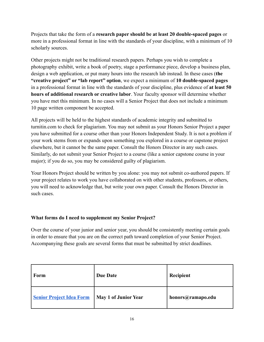Projects that take the form of a **research paper should be at least 20 double-spaced pages** or more in a professional format in line with the standards of your discipline, with a minimum of 10 scholarly sources.

Other projects might not be traditional research papers. Perhaps you wish to complete a photography exhibit, write a book of poetry, stage a performance piece, develop a business plan, design a web application, or put many hours into the research lab instead. In these cases (**the "creative project" or "lab report" option**, we expect a minimum of **10 double-spaced pages** in a professional format in line with the standards of your discipline, plus evidence of **at least 50 hours of additional research or creative labor**. Your faculty sponsor will determine whether you have met this minimum. In no cases will a Senior Project that does not include a minimum 10 page written component be accepted.

All projects will be held to the highest standards of academic integrity and submitted to turnitin.com to check for plagiarism. You may not submit as your Honors Senior Project a paper you have submitted for a course other than your Honors Independent Study. It is not a problem if your work stems from or expands upon something you explored in a course or capstone project elsewhere, but it cannot be the same paper. Consult the Honors Director in any such cases. Similarly, do not submit your Senior Project to a course (like a senior capstone course in your major); if you do so, you may be considered guilty of plagiarism.

Your Honors Project should be written by you alone: you may not submit co-authored papers. If your project relates to work you have collaborated on with other students, professors, or others, you will need to acknowledge that, but write your own paper. Consult the Honors Director in such cases

#### **What forms do I need to supplement my Senior Project?**

Over the course of your junior and senior year, you should be consistently meeting certain goals in order to ensure that you are on the correct path toward completion of your Senior Project. Accompanying these goals are several forms that must be submitted by strict deadlines.

| Form                            | <b>Due Date</b>      | Recipient         |
|---------------------------------|----------------------|-------------------|
| <b>Senior Project Idea Form</b> | May 1 of Junior Year | honors@ramapo.edu |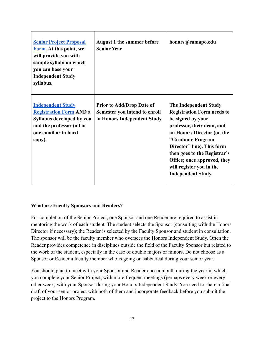| <b>Senior Project Proposal</b><br>Form. At this point, we<br>will provide you with<br>sample syllabi on which<br>you can base your<br><b>Independent Study</b><br>syllabus. | <b>August 1 the summer before</b><br><b>Senior Year</b>                                          | honors@ramapo.edu                                                                                                                                                                                                                                                                                                             |
|-----------------------------------------------------------------------------------------------------------------------------------------------------------------------------|--------------------------------------------------------------------------------------------------|-------------------------------------------------------------------------------------------------------------------------------------------------------------------------------------------------------------------------------------------------------------------------------------------------------------------------------|
| <b>Independent Study</b><br><b>Registration Form AND a</b><br>Syllabus developed by you<br>and the professor (all in<br>one email or in hard<br>copy).                      | <b>Prior to Add/Drop Date of</b><br>Semester you intend to enroll<br>in Honors Independent Study | <b>The Independent Study</b><br><b>Registration Form needs to</b><br>be signed by your<br>professor, their dean, and<br>an Honors Director (on the<br>"Graduate Program<br>Director" line). This form<br>then goes to the Registrar's<br>Office; once approved, they<br>will register you in the<br><b>Independent Study.</b> |

#### **What are Faculty Sponsors and Readers?**

For completion of the Senior Project, one Sponsor and one Reader are required to assist in mentoring the work of each student. The student selects the Sponsor (consulting with the Honors Director if necessary); the Reader is selected by the Faculty Sponsor and student in consultation. The sponsor will be the faculty member who oversees the Honors Independent Study. Often the Reader provides competence in disciplines outside the field of the Faculty Sponsor but related to the work of the student, especially in the case of double majors or minors. Do not choose as a Sponsor or Reader a faculty member who is going on sabbatical during your senior year.

You should plan to meet with your Sponsor and Reader once a month during the year in which you complete your Senior Project, with more frequent meetings (perhaps every week or every other week) with your Sponsor during your Honors Independent Study. You need to share a final draft of your senior project with both of them and incorporate feedback before you submit the project to the Honors Program.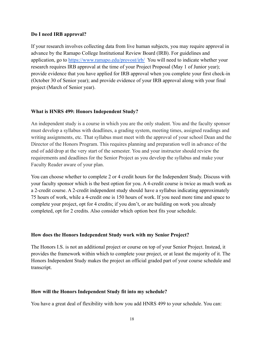#### **Do I need IRB approval?**

If your research involves collecting data from live human subjects, you may require approval in advance by the Ramapo College Institutional Review Board (IRB). For guidelines and application, go to <https://www.ramapo.edu/provost/irb/> You will need to indicate whether your research requires IRB approval at the time of your Project Proposal (May 1 of Junior year); provide evidence that you have applied for IRB approval when you complete your first check-in (October 30 of Senior year); and provide evidence of your IRB approval along with your final project (March of Senior year).

#### **What is HNRS 499: Honors Independent Study?**

An independent study is a course in which you are the only student. You and the faculty sponsor must develop a syllabus with deadlines, a grading system, meeting times, assigned readings and writing assignments, etc. That syllabus must meet with the approval of your school Dean and the Director of the Honors Program. This requires planning and preparation well in advance of the end of add/drop at the very start of the semester. You and your instructor should review the requirements and deadlines for the Senior Project as you develop the syllabus and make your Faculty Reader aware of your plan.

You can choose whether to complete 2 or 4 credit hours for the Independent Study. Discuss with your faculty sponsor which is the best option for you. A 4-credit course is twice as much work as a 2-credit course. A 2-credit independent study should have a syllabus indicating approximately 75 hours of work, while a 4-credit one is 150 hours of work. If you need more time and space to complete your project, opt for 4 credits; if you don't, or are building on work you already completed, opt for 2 credits. Also consider which option best fits your schedule.

#### **How does the Honors Independent Study work with my Senior Project?**

The Honors I.S. is not an additional project or course on top of your Senior Project. Instead, it provides the framework within which to complete your project, or at least the majority of it. The Honors Independent Study makes the project an official graded part of your course schedule and transcript.

#### **How will the Honors Independent Study fit into my schedule?**

You have a great deal of flexibility with how you add HNRS 499 to your schedule. You can: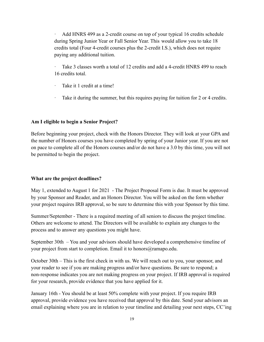Add HNRS 499 as a 2-credit course on top of your typical 16 credits schedule during Spring Junior Year or Fall Senior Year. This would allow you to take 18 credits total (Four 4-credit courses plus the 2-credit I.S.), which does not require paying any additional tuition.

Take 3 classes worth a total of 12 credits and add a 4-credit HNRS 499 to reach 16 credits total.

- · Take it 1 credit at a time!
- Take it during the summer, but this requires paying for tuition for 2 or 4 credits.

#### **Am I eligible to begin a Senior Project?**

Before beginning your project, check with the Honors Director. They will look at your GPA and the number of Honors courses you have completed by spring of your Junior year. If you are not on pace to complete all of the Honors courses and/or do not have a 3.0 by this time, you will not be permitted to begin the project.

#### **What are the project deadlines?**

May 1, extended to August 1 for 2021 - The Project Proposal Form is due. It must be approved by your Sponsor and Reader, and an Honors Director. You will be asked on the form whether your project requires IRB approval, so be sure to determine this with your Sponsor by this time.

Summer/September - There is a required meeting of all seniors to discuss the project timeline. Others are welcome to attend. The Directors will be available to explain any changes to the process and to answer any questions you might have.

September 30th – You and your advisors should have developed a comprehensive timeline of your project from start to completion. Email it to honors@ramapo.edu.

October 30th – This is the first check in with us. We will reach out to you, your sponsor, and your reader to see if you are making progress and/or have questions. Be sure to respond; a non-response indicates you are not making progress on your project. If IRB approval is required for your research, provide evidence that you have applied for it.

January 16th - You should be at least 50% complete with your project. If you require IRB approval, provide evidence you have received that approval by this date. Send your advisors an email explaining where you are in relation to your timeline and detailing your next steps, CC'ing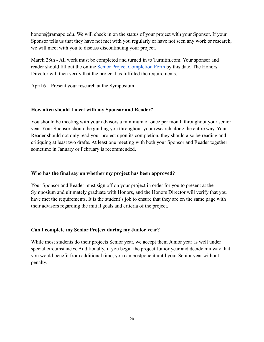honors@ramapo.edu. We will check in on the status of your project with your Sponsor. If your Sponsor tells us that they have not met with you regularly or have not seen any work or research, we will meet with you to discuss discontinuing your project.

March 28th - All work must be completed and turned in to Turnitin.com. Your sponsor and reader should fill out the online [Senior Project Completion](https://ramapo.az1.qualtrics.com/jfe/form/SV_6YHPucPUmTFvimh) Form by this date. The Honors Director will then verify that the project has fulfilled the requirements.

April 6 – Present your research at the Symposium.

#### **How often should I meet with my Sponsor and Reader?**

You should be meeting with your advisors a minimum of once per month throughout your senior year. Your Sponsor should be guiding you throughout your research along the entire way. Your Reader should not only read your project upon its completion, they should also be reading and critiquing at least two drafts. At least one meeting with both your Sponsor and Reader together sometime in January or February is recommended.

#### **Who has the final say on whether my project has been approved?**

Your Sponsor and Reader must sign off on your project in order for you to present at the Symposium and ultimately graduate with Honors, and the Honors Director will verify that you have met the requirements. It is the student's job to ensure that they are on the same page with their advisors regarding the initial goals and criteria of the project.

#### **Can I complete my Senior Project during my Junior year?**

While most students do their projects Senior year, we accept them Junior year as well under special circumstances. Additionally, if you begin the project Junior year and decide midway that you would benefit from additional time, you can postpone it until your Senior year without penalty.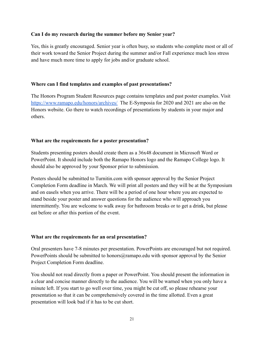#### **Can I do my research during the summer before my Senior year?**

Yes, this is greatly encouraged. Senior year is often busy, so students who complete most or all of their work toward the Senior Project during the summer and/or Fall experience much less stress and have much more time to apply for jobs and/or graduate school.

#### **Where can I find templates and examples of past presentations?**

The Honors Program Student Resources page contains templates and past poster examples. Visit <https://www.ramapo.edu/honors/archives/> The E-Symposia for 2020 and 2021 are also on the Honors website. Go there to watch recordings of presentations by students in your major and others.

#### **What are the requirements for a poster presentation?**

Students presenting posters should create them as a 36x48 document in Microsoft Word or PowerPoint. It should include both the Ramapo Honors logo and the Ramapo College logo. It should also be approved by your Sponsor prior to submission.

Posters should be submitted to Turnitin.com with sponsor approval by the Senior Project Completion Form deadline in March. We will print all posters and they will be at the Symposium and on easels when you arrive. There will be a period of one hour where you are expected to stand beside your poster and answer questions for the audience who will approach you intermittently. You are welcome to walk away for bathroom breaks or to get a drink, but please eat before or after this portion of the event.

#### **What are the requirements for an oral presentation?**

Oral presenters have 7-8 minutes per presentation. PowerPoints are encouraged but not required. PowerPoints should be submitted to honors@ramapo.edu with sponsor approval by the Senior Project Completion Form deadline.

You should not read directly from a paper or PowerPoint. You should present the information in a clear and concise manner directly to the audience. You will be warned when you only have a minute left. If you start to go well over time, you might be cut off, so please rehearse your presentation so that it can be comprehensively covered in the time allotted. Even a great presentation will look bad if it has to be cut short.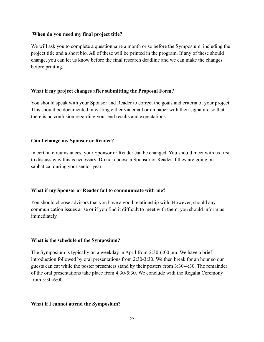#### **When do you need my final project title?**

We will ask you to complete a questionnaire a month or so before the Symposium including the project title and a short bio. All of these will be printed in the program. If any of these should change, you can let us know before the final research deadline and we can make the changes before printing.

#### **What if my project changes after submitting the Proposal Form?**

You should speak with your Sponsor and Reader to correct the goals and criteria of your project. This should be documented in writing either via email or on paper with their signature so that there is no confusion regarding your end results and expectations.

#### **Can I change my Sponsor or Reader?**

In certain circumstances, your Sponsor or Reader can be changed. You should meet with us first to discuss why this is necessary. Do not choose a Sponsor or Reader if they are going on sabbatical during your senior year.

#### **What if my Sponsor or Reader fail to communicate with me?**

You should choose advisors that you have a good relationship with. However, should any communication issues arise or if you find it difficult to meet with them, you should inform us immediately.

#### **What is the schedule of the Symposium?**

The Symposium is typically on a weekday in April from 2:30-6:00 pm. We have a brief introduction followed by oral presentations from 2:30-3:30. We then break for an hour so our guests can eat while the poster presenters stand by their posters from 3:30-4:30. The remainder of the oral presentations take place from 4:30-5:30. We conclude with the Regalia Ceremony from  $5:30-6:00$ .

#### **What if I cannot attend the Symposium?**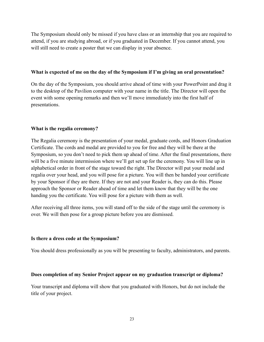The Symposium should only be missed if you have class or an internship that you are required to attend, if you are studying abroad, or if you graduated in December. If you cannot attend, you will still need to create a poster that we can display in your absence.

#### **What is expected of me on the day of the Symposium if I'm giving an oral presentation?**

On the day of the Symposium, you should arrive ahead of time with your PowerPoint and drag it to the desktop of the Pavilion computer with your name in the title. The Director will open the event with some opening remarks and then we'll move immediately into the first half of presentations.

#### **What is the regalia ceremony?**

The Regalia ceremony is the presentation of your medal, graduate cords, and Honors Graduation Certificate. The cords and medal are provided to you for free and they will be there at the Symposium, so you don't need to pick them up ahead of time. After the final presentations, there will be a five minute intermission where we'll get set up for the ceremony. You will line up in alphabetical order in front of the stage toward the right. The Director will put your medal and regalia over your head, and you will pose for a picture. You will then be handed your certificate by your Sponsor if they are there. If they are not and your Reader is, they can do this. Please approach the Sponsor or Reader ahead of time and let them know that they will be the one handing you the certificate. You will pose for a picture with them as well.

After receiving all three items, you will stand off to the side of the stage until the ceremony is over. We will then pose for a group picture before you are dismissed.

#### **Is there a dress code at the Symposium?**

You should dress professionally as you will be presenting to faculty, administrators, and parents.

#### **Does completion of my Senior Project appear on my graduation transcript or diploma?**

Your transcript and diploma will show that you graduated with Honors, but do not include the title of your project.